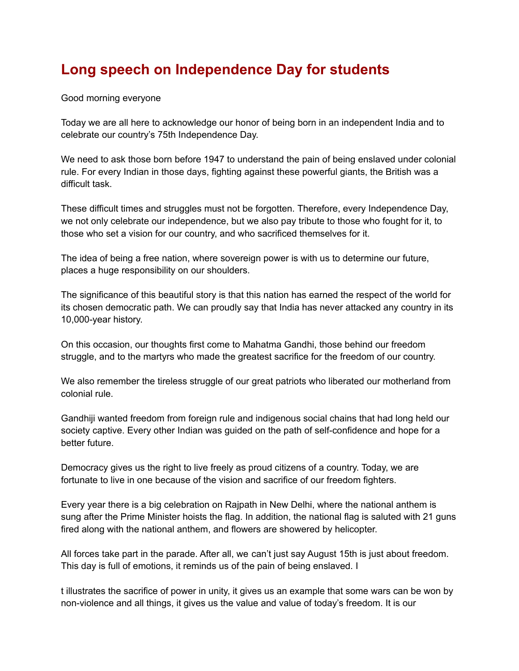## **Long speech on Independence Day for students**

Good morning everyone

Today we are all here to acknowledge our honor of being born in an independent India and to celebrate our country's 75th Independence Day.

We need to ask those born before 1947 to understand the pain of being enslaved under colonial rule. For every Indian in those days, fighting against these powerful giants, the British was a difficult task.

These difficult times and struggles must not be forgotten. Therefore, every Independence Day, we not only celebrate our independence, but we also pay tribute to those who fought for it, to those who set a vision for our country, and who sacrificed themselves for it.

The idea of being a free nation, where sovereign power is with us to determine our future, places a huge responsibility on our shoulders.

The significance of this beautiful story is that this nation has earned the respect of the world for its chosen democratic path. We can proudly say that India has never attacked any country in its 10,000-year history.

On this occasion, our thoughts first come to Mahatma Gandhi, those behind our freedom struggle, and to the martyrs who made the greatest sacrifice for the freedom of our country.

We also remember the tireless struggle of our great patriots who liberated our motherland from colonial rule.

Gandhiji wanted freedom from foreign rule and indigenous social chains that had long held our society captive. Every other Indian was guided on the path of self-confidence and hope for a better future.

Democracy gives us the right to live freely as proud citizens of a country. Today, we are fortunate to live in one because of the vision and sacrifice of our freedom fighters.

Every year there is a big celebration on Rajpath in New Delhi, where the national anthem is sung after the Prime Minister hoists the flag. In addition, the national flag is saluted with 21 guns fired along with the national anthem, and flowers are showered by helicopter.

All forces take part in the parade. After all, we can't just say August 15th is just about freedom. This day is full of emotions, it reminds us of the pain of being enslaved. I

t illustrates the sacrifice of power in unity, it gives us an example that some wars can be won by non-violence and all things, it gives us the value and value of today's freedom. It is our